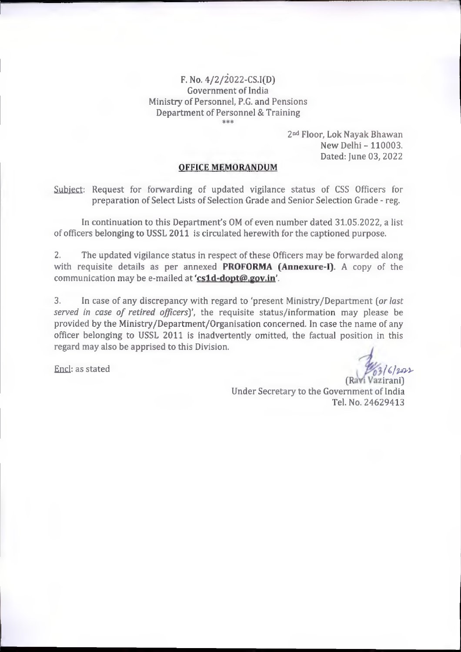F. No.  $4/2/2022 - CS.I(D)$ Government of India Ministry of Personnel, P.G. and Pensions Department of Personnel & Training

2<sup>nd</sup> Floor, Lok Nayak Bhawan New Delhi- 110003. Dated: June 03, 2022

## OFFICE MEMORANDUM

Subject: Request for forwarding of updated vigilance status of CSS Officers for preparation of Select Lists of Selection Grade and Senior Selection Grade - reg.

In continuation to this Department's OM of even number dated 31.05.2022, a list of officers belonging to USSL 2011 is circulated herewith for the captioned purpose.

The updated vigilance status in respect of these Officers may be forwarded along with requisite details as per annexed **PROFORMA (Annexure-I)**. A copy of the communication may be e-mailed at 'cs1d-dopt@.gov.in'. 2.

In case of any discrepancy with regard to 'present Ministry/Department [or last served in case of retired officers)', the requisite status/information may please be provided by the Ministry/Department/Organisation concerned. In case the name of any officer belonging to USSL 2011 is inadvertently omitted, the factual position in this regard may also be apprised to this Division. 3.

End: as stated

 $1612222$ (Ravi Vazirani)

Under Secretary to the Government of India Tel. No. 24629413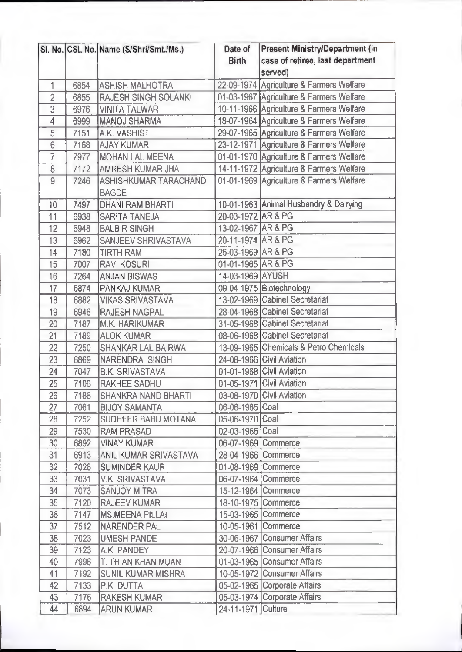|                 |      | SI. No. CSL No. Name (S/Shri/Smt./Ms.)       | Date of<br><b>Birth</b> | <b>Present Ministry/Department (in</b><br>case of retiree, last department<br>served) |
|-----------------|------|----------------------------------------------|-------------------------|---------------------------------------------------------------------------------------|
| 1               | 6854 | <b>ASHISH MALHOTRA</b>                       |                         | 22-09-1974 Agriculture & Farmers Welfare                                              |
| $\overline{2}$  | 6855 | <b>RAJESH SINGH SOLANKI</b>                  |                         | 01-03-1967 Agriculture & Farmers Welfare                                              |
| 3               | 6976 | <b>VINITA TALWAR</b>                         |                         | 10-11-1966 Agriculture & Farmers Welfare                                              |
| 4               | 6999 | <b>MANOJ SHARMA</b>                          |                         | 18-07-1964 Agriculture & Farmers Welfare                                              |
| 5               | 7151 | A.K. VASHIST                                 |                         | 29-07-1965 Agriculture & Farmers Welfare                                              |
| $6\overline{6}$ | 7168 | <b>AJAY KUMAR</b>                            |                         | 23-12-1971 Agriculture & Farmers Welfare                                              |
| $\overline{7}$  | 7977 | <b>MOHAN LAL MEENA</b>                       |                         | 01-01-1970 Agriculture & Farmers Welfare                                              |
| 8               | 7172 | <b>AMRESH KUMAR JHA</b>                      |                         | 14-11-1972 Agriculture & Farmers Welfare                                              |
| 9               | 7246 | <b>ASHISHKUMAR TARACHAND</b><br><b>BAGDE</b> |                         | 01-01-1969 Agriculture & Farmers Welfare                                              |
| 10              | 7497 | <b>DHANI RAM BHARTI</b>                      |                         | 10-01-1963 Animal Husbandry & Dairying                                                |
| 11              | 6938 | <b>SARITA TANEJA</b>                         | 20-03-1972 AR & PG      |                                                                                       |
| 12              | 6948 | <b>BALBIR SINGH</b>                          | 13-02-1967 AR & PG      |                                                                                       |
| 13              | 6962 | <b>SANJEEV SHRIVASTAVA</b>                   | 20-11-1974 AR & PG      |                                                                                       |
| 14              | 7180 | <b>TIRTH RAM</b>                             | 25-03-1969 AR & PG      |                                                                                       |
| 15              | 7007 | <b>RAVI KOSURI</b>                           | 01-01-1965 AR & PG      |                                                                                       |
| 16              | 7264 | <b>ANJAN BISWAS</b>                          | 14-03-1969 AYUSH        |                                                                                       |
| 17              | 6874 | <b>PANKAJ KUMAR</b>                          |                         | 09-04-1975 Biotechnology                                                              |
| 18              | 6882 | <b>VIKAS SRIVASTAVA</b>                      |                         | 13-02-1969 Cabinet Secretariat                                                        |
| 19              | 6946 | <b>RAJESH NAGPAL</b>                         |                         | 28-04-1968 Cabinet Secretariat                                                        |
| 20              | 7187 | <b>M.K. HARIKUMAR</b>                        |                         | 31-05-1968 Cabinet Secretariat                                                        |
| 21              | 7189 | <b>ALOK KUMAR</b>                            |                         | 08-06-1968 Cabinet Secretariat                                                        |
| 22              | 7250 | <b>SHANKAR LAL BAIRWA</b>                    |                         | 13-09-1965 Chemicals & Petro Chemicals                                                |
| 23              | 6869 | <b>NARENDRA SINGH</b>                        |                         | 24-08-1966 Civil Aviation                                                             |
| 24              | 7047 | <b>B.K. SRIVASTAVA</b>                       |                         | 01-01-1968 Civil Aviation                                                             |
| 25              | 7106 | <b>RAKHEE SADHU</b>                          |                         | 01-05-1971 Civil Aviation                                                             |
| 26              | 7186 | <b>SHANKRA NAND BHARTI</b>                   |                         | 03-08-1970 Civil Aviation                                                             |
| 27              | 7061 | <b>BIJOY SAMANTA</b>                         | 06-06-1965 Coal         |                                                                                       |
| 28              | 7252 | <b>SUDHEER BABU MOTANA</b>                   | 05-06-1970 Coal         |                                                                                       |
| 29              | 7530 | <b>RAM PRASAD</b>                            | 02-03-1965 Coal         |                                                                                       |
| 30              | 6892 | <b>VINAY KUMAR</b>                           |                         | 06-07-1969 Commerce                                                                   |
| 31              | 6913 | ANIL KUMAR SRIVASTAVA                        |                         | 28-04-1966 Commerce                                                                   |
| 32              | 7028 | <b>SUMINDER KAUR</b>                         |                         | 01-08-1969 Commerce                                                                   |
| 33              | 7031 | <b>V.K. SRIVASTAVA</b>                       |                         | 06-07-1964 Commerce                                                                   |
| 34              | 7073 | <b>SANJOY MITRA</b>                          |                         | 15-12-1964 Commerce                                                                   |
| 35              | 7120 | <b>RAJEEV KUMAR</b>                          |                         | 18-10-1975 Commerce                                                                   |
| 36              | 7147 | <b>MS.MEENA PILLAI</b>                       |                         | 15-03-1965 Commerce                                                                   |
| 37              | 7512 | <b>NARENDER PAL</b>                          |                         | 10-05-1961 Commerce                                                                   |
| 38              | 7023 | <b>UMESH PANDE</b>                           |                         | 30-06-1967 Consumer Affairs                                                           |
| 39              | 7123 | A.K. PANDEY                                  |                         | 20-07-1966 Consumer Affairs                                                           |
| 40              | 7996 | T. THIAN KHAN MUAN                           |                         | 01-03-1965 Consumer Affairs                                                           |
| 41              | 7192 | <b>SUNIL KUMAR MISHRA</b>                    |                         | 10-05-1972 Consumer Affairs                                                           |
| 42              | 7133 | P.K. DUTTA                                   |                         | 05-02-1965 Corporate Affairs                                                          |
| 43              | 7176 | <b>RAKESH KUMAR</b>                          |                         | 05-03-1974 Corporate Affairs                                                          |
| 44              | 6894 | <b>ARUN KUMAR</b>                            | 24-11-1971 Culture      |                                                                                       |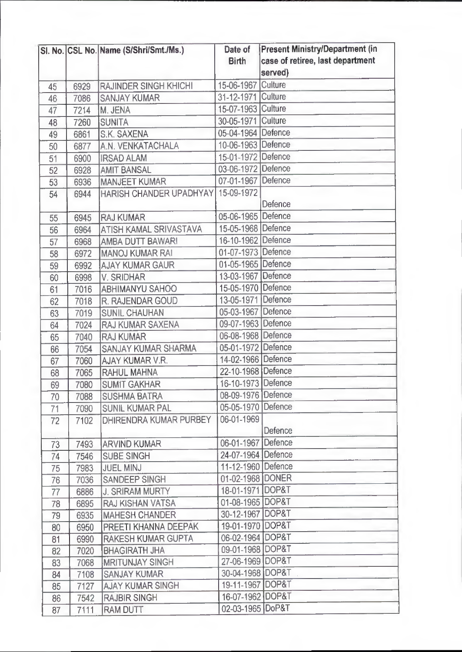|    |      | SI. No. CSL No. Name (S/Shri/Smt./Ms.) | Date of            | Present Ministry/Department (in  |
|----|------|----------------------------------------|--------------------|----------------------------------|
|    |      |                                        | <b>Birth</b>       | case of retiree, last department |
|    |      |                                        |                    | served)                          |
| 45 | 6929 | <b>RAJINDER SINGH KHICHI</b>           | 15-06-1967         | Culture                          |
| 46 | 7086 | <b>SANJAY KUMAR</b>                    | 31-12-1971 Culture |                                  |
| 47 | 7214 | M. JENA                                | 15-07-1963 Culture |                                  |
| 48 | 7260 | <b>SUNITA</b>                          | 30-05-1971 Culture |                                  |
| 49 | 6861 | <b>S.K. SAXENA</b>                     | 05-04-1964 Defence |                                  |
| 50 | 6877 | A.N. VENKATACHALA                      | 10-06-1963 Defence |                                  |
| 51 | 6900 | <b>IRSAD ALAM</b>                      | 15-01-1972 Defence |                                  |
| 52 | 6928 | <b>AMIT BANSAL</b>                     | 03-06-1972 Defence |                                  |
| 53 | 6936 | <b>MANJEET KUMAR</b>                   | 07-01-1967 Defence |                                  |
| 54 | 6944 | <b>HARISH CHANDER UPADHYAY</b>         | 15-09-1972         |                                  |
|    |      |                                        |                    | Defence                          |
| 55 | 6945 | <b>RAJ KUMAR</b>                       | 05-06-1965 Defence |                                  |
| 56 | 6964 | <b>ATISH KAMAL SRIVASTAVA</b>          | 15-05-1968 Defence |                                  |
| 57 | 6968 | <b>AMBA DUTT BAWARI</b>                | 16-10-1962 Defence |                                  |
| 58 | 6972 | <b>MANOJ KUMAR RAI</b>                 | 01-07-1973 Defence |                                  |
| 59 | 6992 | <b>AJAY KUMAR GAUR</b>                 | 01-05-1965 Defence |                                  |
| 60 | 6998 | <b>V. SRIDHAR</b>                      | 13-03-1967 Defence |                                  |
| 61 | 7016 | <b>ABHIMANYU SAHOO</b>                 | 15-05-1970 Defence |                                  |
| 62 | 7018 | <b>R. RAJENDAR GOUD</b>                | 13-05-1971 Defence |                                  |
| 63 | 7019 | <b>SUNIL CHAUHAN</b>                   | 05-03-1967 Defence |                                  |
| 64 | 7024 | <b>RAJ KUMAR SAXENA</b>                | 09-07-1963 Defence |                                  |
| 65 | 7040 | <b>RAJ KUMAR</b>                       | 06-08-1968 Defence |                                  |
| 66 | 7054 | <b>SANJAY KUMAR SHARMA</b>             | 05-01-1972 Defence |                                  |
| 67 | 7060 | <b>AJAY KUMAR V.R.</b>                 | 14-02-1966 Defence |                                  |
| 68 | 7065 | RAHUL MAHNA                            | 22-10-1968 Defence |                                  |
| 69 | 7080 | <b>SUMIT GAKHAR</b>                    | 16-10-1973 Defence |                                  |
| 70 | 7088 | <b>SUSHMA BATRA</b>                    | 08-09-1976 Defence |                                  |
| 71 | 7090 | <b>SUNIL KUMAR PAL</b>                 | 05-05-1970 Defence |                                  |
| 72 | 7102 | DHIRENDRA KUMAR PURBEY                 | 06-01-1969         |                                  |
|    |      |                                        |                    | Defence                          |
| 73 | 7493 | <b>ARVIND KUMAR</b>                    | 06-01-1967 Defence |                                  |
| 74 | 7546 | <b>SUBE SINGH</b>                      | 24-07-1964 Defence |                                  |
| 75 | 7983 | <b>JUEL MINJ</b>                       | 11-12-1960 Defence |                                  |
| 76 | 7036 | SANDEEP SINGH                          | 01-02-1968 DONER   |                                  |
| 77 | 6886 | <b>J. SRIRAM MURTY</b>                 | 18-01-1971 DOP&T   |                                  |
| 78 | 6895 | <b>RAJ KISHAN VATSA</b>                | 01-08-1965 DOP&T   |                                  |
| 79 | 6935 | <b>MAHESH CHANDER</b>                  | 30-12-1967 DOP&T   |                                  |
| 80 | 6950 | PREETI KHANNA DEEPAK                   | 19-01-1970 DOP&T   |                                  |
| 81 | 6990 | <b>RAKESH KUMAR GUPTA</b>              | 06-02-1964 DOP&T   |                                  |
| 82 | 7020 | <b>BHAGIRATH JHA</b>                   | 09-01-1968 DOP&T   |                                  |
| 83 | 7068 | <b>MRITUNJAY SINGH</b>                 | 27-06-1969 DOP&T   |                                  |
| 84 | 7108 | <b>SANJAY KUMAR</b>                    | 30-04-1968 DOP&T   |                                  |
| 85 | 7127 | <b>AJAY KUMAR SINGH</b>                | 19-11-1967 DOP&T   |                                  |
| 86 | 7542 | <b>RAJBIR SINGH</b>                    | 16-07-1962 DOP&T   |                                  |
|    |      |                                        |                    |                                  |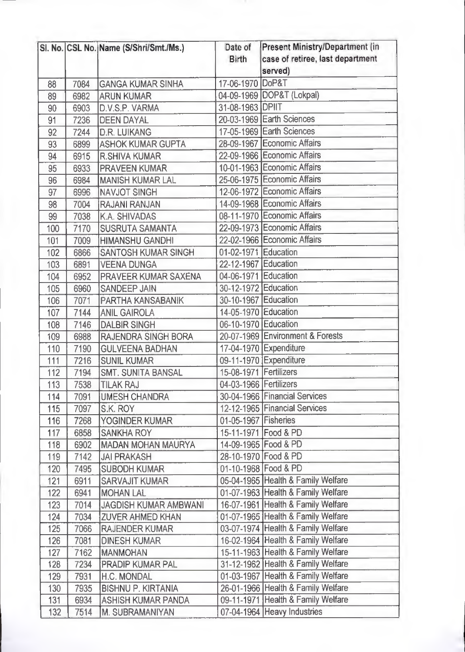|     |      | SI. No. CSL No. Name (S/Shri/Smt./Ms.) | Date of<br><b>Birth</b> | Present Ministry/Department (in<br>case of retiree, last department<br>served) |
|-----|------|----------------------------------------|-------------------------|--------------------------------------------------------------------------------|
| 88  | 7084 | <b>GANGA KUMAR SINHA</b>               | 17-06-1970 DoP&T        |                                                                                |
| 89  | 6982 | <b>ARUN KUMAR</b>                      |                         | 04-09-1969 DOP&T (Lokpal)                                                      |
| 90  | 6903 | D.V.S.P. VARMA                         | 31-08-1963 DPIIT        |                                                                                |
| 91  | 7236 | <b>DEEN DAYAL</b>                      |                         | 20-03-1969 Earth Sciences                                                      |
| 92  | 7244 | <b>D.R. LUIKANG</b>                    |                         | 17-05-1969 Earth Sciences                                                      |
| 93  | 6899 | <b>ASHOK KUMAR GUPTA</b>               |                         | 28-09-1967 Economic Affairs                                                    |
| 94  | 6915 | <b>R.SHIVA KUMAR</b>                   |                         | 22-09-1966 Economic Affairs                                                    |
| 95  | 6933 | <b>PRAVEEN KUMAR</b>                   |                         | 10-01-1963 Economic Affairs                                                    |
| 96  | 6984 | <b>MANISH KUMAR LAL</b>                |                         | 25-06-1975 Economic Affairs                                                    |
| 97  | 6996 | <b>NAVJOT SINGH</b>                    |                         | 12-06-1972 Economic Affairs                                                    |
| 98  | 7004 | <b>RAJANI RANJAN</b>                   |                         | 14-09-1968 Economic Affairs                                                    |
| 99  | 7038 | <b>K.A. SHIVADAS</b>                   |                         | 08-11-1970 Economic Affairs                                                    |
| 100 | 7170 | <b>SUSRUTA SAMANTA</b>                 |                         | 22-09-1973 Economic Affairs                                                    |
| 101 | 7009 | <b>HIMANSHU GANDHI</b>                 |                         | 22-02-1966 Economic Affairs                                                    |
| 102 | 6866 | <b>SANTOSH KUMAR SINGH</b>             | 01-02-1971 Education    |                                                                                |
| 103 | 6891 | <b>VEENA DUNGA</b>                     | 22-12-1967 Education    |                                                                                |
| 104 | 6952 | PRAVEER KUMAR SAXENA                   | 04-06-1971 Education    |                                                                                |
| 105 | 6960 | <b>SANDEEP JAIN</b>                    | 30-12-1972 Education    |                                                                                |
| 106 | 7071 | <b>PARTHA KANSABANIK</b>               | 30-10-1967 Education    |                                                                                |
| 107 | 7144 | <b>ANIL GAIROLA</b>                    | 14-05-1970 Education    |                                                                                |
| 108 | 7146 | <b>DALBIR SINGH</b>                    | 06-10-1970 Education    |                                                                                |
| 109 | 6988 | RAJENDRA SINGH BORA                    |                         | 20-07-1969 Environment & Forests                                               |
| 110 | 7190 | <b>GULVEENA BADHAN</b>                 |                         | 17-04-1970 Expenditure                                                         |
| 111 | 7216 | <b>SUNIL KUMAR</b>                     |                         | 09-11-1970 Expenditure                                                         |
| 112 | 7194 | <b>SMT. SUNITA BANSAL</b>              | 15-08-1971 Fertilizers  |                                                                                |
| 113 | 7538 | <b>TILAK RAJ</b>                       | 04-03-1966 Fertilizers  |                                                                                |
| 114 | 7091 | <b>UMESH CHANDRA</b>                   |                         | 30-04-1966 Financial Services                                                  |
| 115 | 7097 | S.K. ROY                               |                         | 12-12-1965 Financial Services                                                  |
| 116 | 7268 | YOGINDER KUMAR                         | 01-05-1967 Fisheries    |                                                                                |
| 117 | 6858 | <b>SANKHA ROY</b>                      |                         | 15-11-1971 Food & PD                                                           |
| 118 | 6902 | <b>MADAN MOHAN MAURYA</b>              |                         | 14-09-1965 Food & PD                                                           |
| 119 | 7142 | <b>JAI PRAKASH</b>                     |                         | 28-10-1970 Food & PD                                                           |
| 120 | 7495 | <b>SUBODH KUMAR</b>                    |                         | 01-10-1968 Food & PD                                                           |
| 121 | 6911 | <b>SARVAJIT KUMAR</b>                  |                         | 05-04-1965 Health & Family Welfare                                             |
| 122 | 6941 | <b>MOHAN LAL</b>                       |                         | 01-07-1963 Health & Family Welfare                                             |
| 123 | 7014 | <b>JAGDISH KUMAR AMBWANI</b>           |                         | 16-07-1961 Health & Family Welfare                                             |
| 124 | 7034 | <b>ZUVER AHMED KHAN</b>                |                         | 01-07-1965 Health & Family Welfare                                             |
| 125 | 7066 | <b>RAJENDER KUMAR</b>                  |                         | 03-07-1974 Health & Family Welfare                                             |
| 126 | 7081 | <b>DINESH KUMAR</b>                    |                         | 16-02-1964 Health & Family Welfare                                             |
| 127 | 7162 | <b>MANMOHAN</b>                        |                         | 15-11-1963 Health & Family Welfare                                             |
| 128 | 7234 | <b>PRADIP KUMAR PAL</b>                |                         | 31-12-1962 Health & Family Welfare                                             |
| 129 | 7931 | H.C. MONDAL                            |                         | 01-03-1967 Health & Family Welfare                                             |
| 130 | 7935 | <b>BISHNU P. KIRTANIA</b>              |                         | 26-01-1966 Health & Family Welfare                                             |
| 131 | 6934 | <b>ASHISH KUMAR PANDA</b>              |                         | 09-11-1971 Health & Family Welfare                                             |
| 132 | 7514 | M. SUBRAMANIYAN                        |                         | 07-04-1964 Heavy Industries                                                    |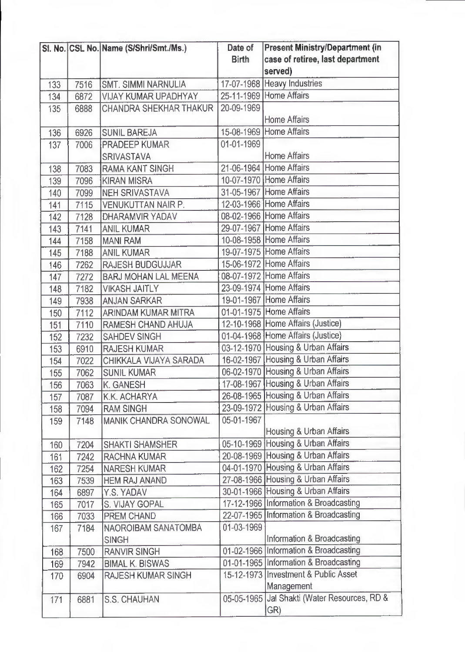|     |      | SI. No. CSL No. Name (S/Shri/Smt./Ms.) | Date of      | Present Ministry/Department (in              |
|-----|------|----------------------------------------|--------------|----------------------------------------------|
|     |      |                                        | <b>Birth</b> | case of retiree, last department             |
|     |      |                                        |              | served)                                      |
| 133 | 7516 | <b>SMT. SIMMI NARNULIA</b>             |              | 17-07-1968 Heavy Industries                  |
| 134 | 6872 | <b>VIJAY KUMAR UPADHYAY</b>            |              | 25-11-1969 Home Affairs                      |
| 135 | 6888 | <b>CHANDRA SHEKHAR THAKUR</b>          | 20-09-1969   |                                              |
|     |      |                                        |              | <b>Home Affairs</b>                          |
| 136 | 6926 | <b>SUNIL BAREJA</b>                    |              | 15-08-1969 Home Affairs                      |
| 137 | 7006 | <b>PRADEEP KUMAR</b>                   | 01-01-1969   |                                              |
|     |      | <b>SRIVASTAVA</b>                      |              | <b>Home Affairs</b>                          |
| 138 | 7083 | <b>RAMA KANT SINGH</b>                 |              | 21-06-1964 Home Affairs                      |
| 139 | 7096 | <b>KIRAN MISRA</b>                     |              | 10-07-1970 Home Affairs                      |
| 140 | 7099 | <b>NEH SRIVASTAVA</b>                  |              | 31-05-1967 Home Affairs                      |
| 141 | 7115 | <b>VENUKUTTAN NAIR P.</b>              |              | 12-03-1966 Home Affairs                      |
| 142 | 7128 | <b>DHARAMVIR YADAV</b>                 |              | 08-02-1966 Home Affairs                      |
| 143 | 7141 | <b>ANIL KUMAR</b>                      |              | 29-07-1967 Home Affairs                      |
| 144 | 7158 | <b>MANI RAM</b>                        |              | 10-08-1958 Home Affairs                      |
| 145 | 7188 | <b>ANIL KUMAR</b>                      |              | 19-07-1975 Home Affairs                      |
| 146 | 7262 | <b>RAJESH BUDGUJJAR</b>                |              | 15-06-1972 Home Affairs                      |
| 147 | 7272 | <b>BARJ MOHAN LAL MEENA</b>            |              | 08-07-1972 Home Affairs                      |
| 148 | 7182 | <b>VIKASH JAITLY</b>                   |              | 23-09-1974 Home Affairs                      |
| 149 | 7938 | <b>ANJAN SARKAR</b>                    |              | 19-01-1967 Home Affairs                      |
| 150 | 7112 | <b>ARINDAM KUMAR MITRA</b>             |              | 01-01-1975 Home Affairs                      |
| 151 | 7110 | RAMESH CHAND AHUJA                     |              | 12-10-1968 Home Affairs (Justice)            |
| 152 | 7232 | <b>SAHDEV SINGH</b>                    |              | 01-04-1968 Home Affairs (Justice)            |
| 153 | 6910 | <b>RAJESH KUMAR</b>                    |              | 03-12-1970 Housing & Urban Affairs           |
| 154 | 7022 | CHIKKALA VIJAYA SARADA                 |              | 16-02-1967 Housing & Urban Affairs           |
| 155 | 7062 | <b>SUNIL KUMAR</b>                     |              | 06-02-1970 Housing & Urban Affairs           |
| 156 | 7063 | <b>K. GANESH</b>                       |              | 17-08-1967 Housing & Urban Affairs           |
| 157 | 7087 | K.K. ACHARYA                           |              | 26-08-1965 Housing & Urban Affairs           |
| 158 | 7094 | <b>RAM SINGH</b>                       |              | 23-09-1972 Housing & Urban Affairs           |
| 159 | 7148 | MANIK CHANDRA SONOWAL                  | 05-01-1967   |                                              |
|     |      |                                        |              | Housing & Urban Affairs                      |
| 160 | 7204 | <b>SHAKTI SHAMSHER</b>                 |              | 05-10-1969 Housing & Urban Affairs           |
| 161 | 7242 | <b>RACHNA KUMAR</b>                    |              | 20-08-1969 Housing & Urban Affairs           |
| 162 | 7254 | <b>NARESH KUMAR</b>                    |              | 04-01-1970 Housing & Urban Affairs           |
| 163 | 7539 | <b>HEM RAJ ANAND</b>                   |              | 27-08-1966 Housing & Urban Affairs           |
| 164 | 6897 | Y.S. YADAV                             |              | 30-01-1966 Housing & Urban Affairs           |
| 165 | 7017 | <b>S. VIJAY GOPAL</b>                  |              | 17-12-1966 Information & Broadcasting        |
| 166 | 7033 | <b>PREM CHAND</b>                      |              | 22-07-1965 Information & Broadcasting        |
| 167 | 7184 | NAOROIBAM SANATOMBA                    | 01-03-1969   |                                              |
|     |      | <b>SINGH</b>                           |              | Information & Broadcasting                   |
| 168 | 7500 | <b>RANVIR SINGH</b>                    |              | 01-02-1966 Information & Broadcasting        |
| 169 | 7942 | <b>BIMAL K. BISWAS</b>                 |              | 01-01-1965 Information & Broadcasting        |
| 170 | 6904 | <b>RAJESH KUMAR SINGH</b>              |              | 15-12-1973 Investment & Public Asset         |
|     |      |                                        |              | Management                                   |
| 171 | 6881 | <b>S.S. CHAUHAN</b>                    |              | 05-05-1965 Jal Shakti (Water Resources, RD & |
|     |      |                                        |              | GR)                                          |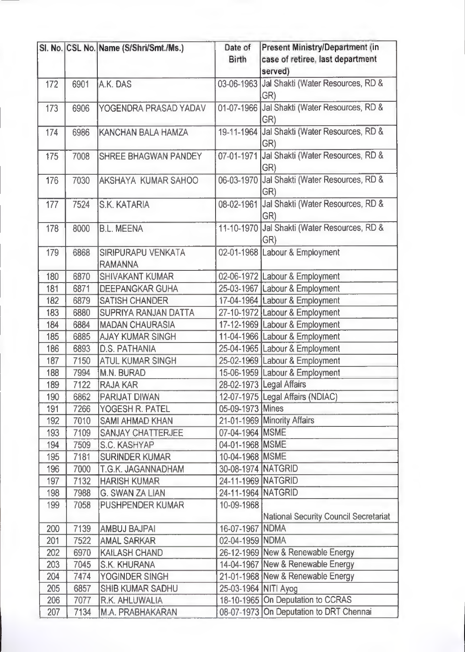|     |      | SI. No. CSL No. Name (S/Shri/Smt./Ms.) | Date of              | Present Ministry/Department (in              |
|-----|------|----------------------------------------|----------------------|----------------------------------------------|
|     |      |                                        | <b>Birth</b>         | case of retiree, last department             |
|     |      |                                        |                      | served)                                      |
| 172 | 6901 | A.K. DAS                               |                      | 03-06-1963 Jal Shakti (Water Resources, RD & |
|     |      |                                        |                      | GR)                                          |
| 173 | 6906 | YOGENDRA PRASAD YADAV                  |                      | 01-07-1966 Jal Shakti (Water Resources, RD & |
|     |      |                                        |                      | GR)                                          |
| 174 | 6986 | <b>KANCHAN BALA HAMZA</b>              |                      | 19-11-1964 Jal Shakti (Water Resources, RD & |
|     |      |                                        |                      | GR)                                          |
| 175 | 7008 | <b>SHREE BHAGWAN PANDEY</b>            |                      | 07-01-1971 Jal Shakti (Water Resources, RD & |
|     |      |                                        |                      | GR)                                          |
| 176 | 7030 | <b>AKSHAYA KUMAR SAHOO</b>             | 06-03-1970           | Jal Shakti (Water Resources, RD &            |
|     |      |                                        |                      | GR)                                          |
| 177 | 7524 | <b>S.K. KATARIA</b>                    |                      | 08-02-1961 Jal Shakti (Water Resources, RD & |
|     |      |                                        |                      | GR)                                          |
| 178 | 8000 | <b>B.L. MEENA</b>                      |                      | 11-10-1970 Jal Shakti (Water Resources, RD & |
|     |      |                                        |                      | GR)                                          |
| 179 | 6868 | <b>SIRIPURAPU VENKATA</b>              | 02-01-1968           | Labour & Employment                          |
|     |      | <b>RAMANNA</b>                         |                      |                                              |
| 180 | 6870 | <b>SHIVAKANT KUMAR</b>                 |                      | 02-06-1972 Labour & Employment               |
| 181 | 6871 | <b>DEEPANGKAR GUHA</b>                 |                      | 25-03-1967 Labour & Employment               |
| 182 | 6879 | <b>SATISH CHANDER</b>                  |                      | 17-04-1964 Labour & Employment               |
| 183 | 6880 | <b>SUPRIYA RANJAN DATTA</b>            |                      | 27-10-1972 Labour & Employment               |
| 184 | 6884 | <b>MADAN CHAURASIA</b>                 |                      | 17-12-1969 Labour & Employment               |
| 185 | 6885 | <b>AJAY KUMAR SINGH</b>                |                      | 11-04-1966 Labour & Employment               |
| 186 | 6893 | <b>D.S. PATHANIA</b>                   |                      | 25-04-1965 Labour & Employment               |
| 187 | 7150 | <b>ATUL KUMAR SINGH</b>                |                      | 25-02-1969 Labour & Employment               |
| 188 | 7994 | M.N. BURAD                             |                      | 15-06-1959 Labour & Employment               |
| 189 | 7122 | <b>RAJA KAR</b>                        |                      | 28-02-1973 Legal Affairs                     |
| 190 | 6862 | PARIJAT DIWAN                          |                      | 12-07-1975   Legal Affairs (NDIAC)           |
| 191 | 7266 | YOGESH R. PATEL                        | 05-09-1973 Mines     |                                              |
| 192 | 7010 | <b>SAMI AHMAD KHAN</b>                 |                      | 21-01-1969 Minority Affairs                  |
| 193 | 7109 | <b>SANJAY CHATTERJEE</b>               | 07-04-1964 MSME      |                                              |
| 194 | 7509 | S.C. KASHYAP                           | 04-01-1968 MSME      |                                              |
| 195 | 7181 | <b>SURINDER KUMAR</b>                  | 10-04-1968   MSME    |                                              |
| 196 | 7000 | T.G.K. JAGANNADHAM                     | 30-08-1974 NATGRID   |                                              |
| 197 | 7132 | <b>HARISH KUMAR</b>                    | 24-11-1969 NATGRID   |                                              |
| 198 | 7988 | <b>G. SWAN ZA LIAN</b>                 | 24-11-1964 NATGRID   |                                              |
| 199 | 7058 | <b>PUSHPENDER KUMAR</b>                | 10-09-1968           |                                              |
|     |      |                                        |                      | National Security Council Secretariat        |
| 200 | 7139 | <b>AMBUJ BAJPAI</b>                    | 16-07-1967 NDMA      |                                              |
| 201 | 7522 | <b>AMAL SARKAR</b>                     | 02-04-1959 NDMA      |                                              |
| 202 | 6970 | <b>KAILASH CHAND</b>                   |                      | 26-12-1969 New & Renewable Energy            |
| 203 | 7045 | <b>S.K. KHURANA</b>                    |                      | 14-04-1967 New & Renewable Energy            |
| 204 | 7474 | YOGINDER SINGH                         |                      | 21-01-1968 New & Renewable Energy            |
| 205 | 6857 | <b>SHIB KUMAR SADHU</b>                | 25-03-1964 NITI Ayog |                                              |
| 206 | 7077 | R.K. AHLUWALIA                         |                      | 18-10-1965 On Deputation to CCRAS            |
| 207 | 7134 | <b>M.A. PRABHAKARAN</b>                |                      | 08-07-1973 On Deputation to DRT Chennai      |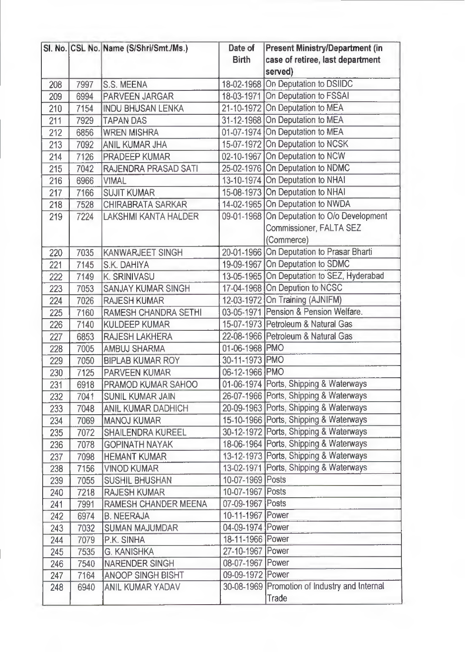|     |      | SI. No. CSL No. Name (S/Shri/Smt./Ms.) | Date of          | <b>Present Ministry/Department (in</b>        |
|-----|------|----------------------------------------|------------------|-----------------------------------------------|
|     |      |                                        | <b>Birth</b>     | case of retiree, last department              |
|     |      |                                        |                  | served)                                       |
| 208 | 7997 | S.S. MEENA                             |                  | 18-02-1968 On Deputation to DSIIDC            |
| 209 | 6994 | <b>PARVEEN JARGAR</b>                  |                  | 18-03-1971 On Deputation to FSSAI             |
| 210 | 7154 | <b>INDU BHUSAN LENKA</b>               |                  | 21-10-1972 On Deputation to MEA               |
| 211 | 7929 | <b>TAPAN DAS</b>                       |                  | 31-12-1968 On Deputation to MEA               |
| 212 | 6856 | <b>WREN MISHRA</b>                     |                  | 01-07-1974 On Deputation to MEA               |
| 213 | 7092 | <b>ANIL KUMAR JHA</b>                  |                  | 15-07-1972 On Deputation to NCSK              |
| 214 | 7126 | <b>PRADEEP KUMAR</b>                   |                  | 02-10-1967 On Deputation to NCW               |
| 215 | 7042 | <b>RAJENDRA PRASAD SATI</b>            |                  | 25-02-1976 On Deputation to NDMC              |
| 216 | 6966 | <b>VIMAL</b>                           |                  | 13-10-1974 On Deputation to NHAI              |
| 217 | 7166 | <b>SUJIT KUMAR</b>                     |                  | 15-08-1973 On Deputation to NHAI              |
| 218 | 7528 | <b>CHIRABRATA SARKAR</b>               |                  | 14-02-1965 On Deputation to NWDA              |
| 219 | 7224 | <b>LAKSHMI KANTA HALDER</b>            |                  | 09-01-1968 On Deputation to O/o Development   |
|     |      |                                        |                  | <b>Commissioner, FALTA SEZ</b>                |
|     |      |                                        |                  | (Commerce)                                    |
| 220 | 7035 | <b>KANWARJEET SINGH</b>                |                  | 20-01-1966 On Deputation to Prasar Bharti     |
| 221 | 7145 | S.K. DAHIYA                            |                  | 19-09-1967 On Deputation to SDMC              |
| 222 | 7149 | <b>K. SRINIVASU</b>                    |                  | 13-05-1965 On Deputation to SEZ, Hyderabad    |
| 223 | 7053 | <b>SANJAY KUMAR SINGH</b>              |                  | 17-04-1968 On Depution to NCSC                |
| 224 | 7026 | <b>RAJESH KUMAR</b>                    |                  | 12-03-1972 On Training (AJNIFM)               |
| 225 | 7160 | RAMESH CHANDRA SETHI                   |                  | 03-05-1971 Pension & Pension Welfare.         |
| 226 | 7140 | <b>KULDEEP KUMAR</b>                   |                  | 15-07-1973 Petroleum & Natural Gas            |
| 227 | 6853 | <b>RAJESH LAKHERA</b>                  |                  | 22-08-1966 Petroleum & Natural Gas            |
| 228 | 7005 | <b>AMBUJ SHARMA</b>                    | 01-06-1968 PMO   |                                               |
| 229 | 7050 | <b>BIPLAB KUMAR ROY</b>                | 30-11-1973 PMO   |                                               |
| 230 | 7125 | <b>PARVEEN KUMAR</b>                   | 06-12-1966 PMO   |                                               |
| 231 | 6918 | PRAMOD KUMAR SAHOO                     |                  | 01-06-1974 Ports, Shipping & Waterways        |
| 232 | 7041 | <b>SUNIL KUMAR JAIN</b>                |                  | 26-07-1966 Ports, Shipping & Waterways        |
| 233 | 7048 | <b>ANIL KUMAR DADHICH</b>              |                  | 20-09-1963 Ports, Shipping & Waterways        |
| 234 | 7069 | <b>MANOJ KUMAR</b>                     |                  | 15-10-1966 Ports, Shipping & Waterways        |
| 235 | 7072 | <b>SHAILENDRA KUREEL</b>               |                  | 30-12-1972 Ports, Shipping & Waterways        |
| 236 | 7078 | <b>GOPINATH NAYAK</b>                  |                  | 18-06-1964 Ports, Shipping & Waterways        |
| 237 | 7098 | <b>HEMANT KUMAR</b>                    |                  | 13-12-1973 Ports, Shipping & Waterways        |
| 238 | 7156 | <b>VINOD KUMAR</b>                     |                  | 13-02-1971 Ports, Shipping & Waterways        |
| 239 | 7055 | <b>SUSHIL BHUSHAN</b>                  | 10-07-1969 Posts |                                               |
| 240 | 7218 | <b>RAJESH KUMAR</b>                    | 10-07-1967 Posts |                                               |
| 241 | 7991 | RAMESH CHANDER MEENA                   | 07-09-1967 Posts |                                               |
| 242 | 6974 | <b>B. NEERAJA</b>                      | 10-11-1967 Power |                                               |
| 243 | 7032 | <b>SUMAN MAJUMDAR</b>                  | 04-09-1974 Power |                                               |
| 244 | 7079 | P.K. SINHA                             | 18-11-1966 Power |                                               |
| 245 | 7535 | <b>G. KANISHKA</b>                     | 27-10-1967 Power |                                               |
| 246 | 7540 | <b>NARENDER SINGH</b>                  | 08-07-1967 Power |                                               |
| 247 | 7164 | <b>ANOOP SINGH BISHT</b>               | 09-09-1972 Power |                                               |
| 248 | 6940 | <b>ANIL KUMAR YADAV</b>                |                  | 30-08-1969 Promotion of Industry and Internal |
|     |      |                                        |                  | Trade                                         |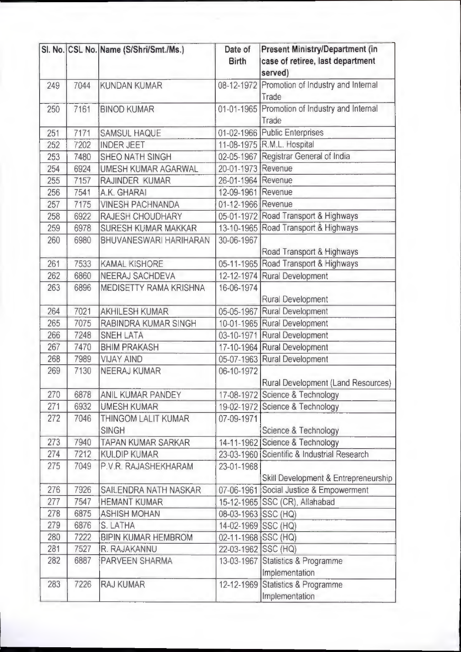|     |      | Sl. No. CSL No. Name (S/Shri/Smt./Ms.) | Date of<br><b>Birth</b> | Present Ministry/Department (in<br>case of retiree, last department<br>served) |
|-----|------|----------------------------------------|-------------------------|--------------------------------------------------------------------------------|
| 249 | 7044 | <b>KUNDAN KUMAR</b>                    |                         | 08-12-1972 Promotion of Industry and Internal<br>Trade                         |
| 250 | 7161 | <b>BINOD KUMAR</b>                     |                         | 01-01-1965 Promotion of Industry and Internal<br>Trade                         |
| 251 | 7171 | <b>SAMSUL HAQUE</b>                    |                         | 01-02-1966 Public Enterprises                                                  |
| 252 | 7202 | <b>INDER JEET</b>                      |                         | 11-08-1975 R.M.L. Hospital                                                     |
| 253 | 7480 | <b>SHEO NATH SINGH</b>                 |                         | 02-05-1967 Registrar General of India                                          |
| 254 | 6924 | UMESH KUMAR AGARWAL                    | 20-01-1973 Revenue      |                                                                                |
| 255 | 7157 | RAJINDER KUMAR                         | 26-01-1964 Revenue      |                                                                                |
| 256 | 7541 | A.K. GHARAI                            | 12-09-1961 Revenue      |                                                                                |
| 257 | 7175 | <b>VINESH PACHNANDA</b>                | 01-12-1966 Revenue      |                                                                                |
| 258 | 6922 | <b>RAJESH CHOUDHARY</b>                |                         | 05-01-1972 Road Transport & Highways                                           |
| 259 | 6978 | <b>SURESH KUMAR MAKKAR</b>             |                         | 13-10-1965 Road Transport & Highways                                           |
| 260 | 6980 | <b>BHUVANESWARI HARIHARAN</b>          | 30-06-1967              | Road Transport & Highways                                                      |
| 261 | 7533 | <b>KAMAL KISHORE</b>                   |                         | 05-11-1965 Road Transport & Highways                                           |
| 262 | 6860 | <b>NEERAJ SACHDEVA</b>                 |                         | 12-12-1974 Rural Development                                                   |
| 263 | 6896 | MEDISETTY RAMA KRISHNA                 | 16-06-1974              | <b>Rural Development</b>                                                       |
| 264 | 7021 | <b>AKHILESH KUMAR</b>                  |                         | 05-05-1967 Rural Development                                                   |
| 265 | 7075 | RABINDRA KUMAR SINGH                   |                         | 10-01-1965 Rural Development                                                   |
| 266 | 7248 | <b>SNEH LATA</b>                       |                         | 03-10-1971 Rural Development                                                   |
| 267 | 7470 | <b>BHIM PRAKASH</b>                    |                         | 17-10-1964 Rural Development                                                   |
| 268 | 7989 | <b>VIJAY AIND</b>                      |                         | 05-07-1963 Rural Development                                                   |
| 269 | 7130 | <b>NEERAJ KUMAR</b>                    | 06-10-1972              | Rural Development (Land Resources)                                             |
| 270 | 6878 | <b>ANIL KUMAR PANDEY</b>               |                         | 17-08-1972 Science & Technology                                                |
| 271 | 6932 | <b>UMESH KUMAR</b>                     |                         | 19-02-1972 Science & Technology                                                |
| 272 | 7046 | THINGOM LALIT KUMAR<br><b>SINGH</b>    | 07-09-1971              | Science & Technology                                                           |
| 273 | 7940 | <b>TAPAN KUMAR SARKAR</b>              |                         | 14-11-1962 Science & Technology                                                |
| 274 | 7212 | <b>KULDIP KUMAR</b>                    |                         | 23-03-1960 Scientific & Industrial Research                                    |
| 275 | 7049 | P.V.R. RAJASHEKHARAM                   | 23-01-1968              | Skill Development & Entrepreneurship                                           |
| 276 | 7926 | SAILENDRA NATH NASKAR                  |                         | 07-06-1961 Social Justice & Empowerment                                        |
| 277 | 7547 | <b>HEMANT KUMAR</b>                    |                         | 15-12-1965 SSC (CR), Allahabad                                                 |
| 278 | 6875 | <b>ASHISH MOHAN</b>                    | 08-03-1963 SSC (HQ)     |                                                                                |
| 279 | 6876 | S. LATHA                               | 14-02-1969 SSC (HQ)     |                                                                                |
| 280 | 7222 | <b>BIPIN KUMAR HEMBROM</b>             | 02-11-1968 SSC (HQ)     |                                                                                |
| 281 | 7527 | R. RAJAKANNU                           | 22-03-1962 SSC (HQ)     |                                                                                |
| 282 | 6887 | PARVEEN SHARMA                         |                         | 13-03-1967 Statistics & Programme<br>Implementation                            |
| 283 | 7226 | <b>RAJ KUMAR</b>                       |                         | 12-12-1969 Statistics & Programme<br>Implementation                            |